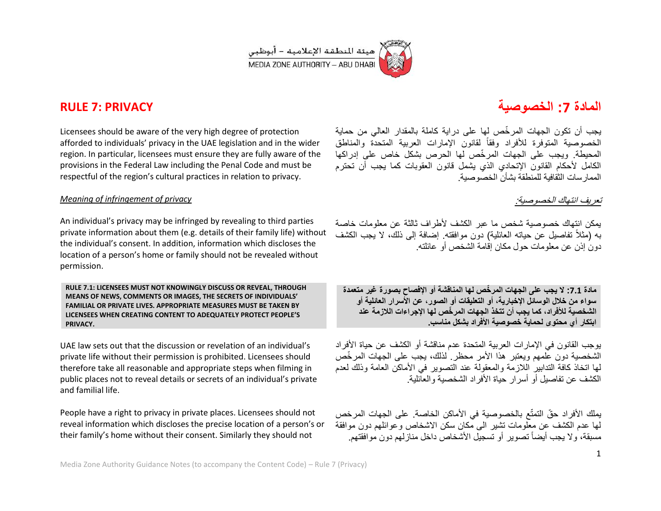

Licensees should be aware of the very high degree of protection afforded to individuals' privacy in the UAE legislation and in the wider region. In particular, licensees must ensure they are fully aware of the provisions in the Federal Law including the Penal Code and must be respectful of the region's cultural practices in relation to privacy.

#### *Meaning of infringement of privacy*

An individual's privacy may be infringed by revealing to third parties private information about them (e.g. details of their family life) without the individual's consent. In addition, information which discloses the location of a person's home or family should not be revealed without permission.

**RULE 7.1: LICENSEES MUST NOT KNOWINGLY DISCUSS OR REVEAL, THROUGH MEANS OF NEWS, COMMENTS OR IMAGES, THE SECRETS OF INDIVIDUALS' FAMILIAL OR PRIVATE LIVES. APPROPRIATE MEASURES MUST BE TAKEN BY LICENSEES WHEN CREATING CONTENT TO ADEQUATELY PROTECT PEOPLE'S PRIVACY.** 

UAE law sets out that the discussion or revelation of an individual's private life without their permission is prohibited. Licensees should therefore take all reasonable and appropriate steps when filming in public places not to reveal details or secrets of an individual's private and familial life.

People have a right to privacy in private places. Licensees should not reveal information which discloses the precise location of a person's or their family's home without their consent. Similarly they should not

## **المادة :7 الخصوصٌة PRIVACY 7: RULE**

يجب أن تكون الجهات المر خّص لها على دراية كاملة بالمقدار العالي من حماية الخصوصية المتوفرة للأفراد وفقاً لقانون الإمارات العربية المتحدّة والمناطق المحبطة. وبجب على الجهات المر خّص لها الحرص بشكل خاص على إدراكها الكامل لأحكام القانون الإتحادي الذي بشمل قانون العقوبات كما بجب أن تحترم الممار سات الثقافية للمنطقة بشأن الخصو صبية.

#### تعريف انتهاك الخصوصية:

بمكن انتهاك خصوصية شخص ما عبر الكشف لأطراف ثالثة عن معلومات خاصة به (مثلاً تفاصيل عن حياته العائلية) دون موافقته. إضافة إلى ذلك، لا يجب الكشف دون إذن عن معلومات حول مكان إقامة الشخص أو عائلته.

**مادة :7.7 ال ٌجب على الجهات المر ّخص لها المناقشة أو اإلفصاح بصورة غٌر متعمدة سواء من خالل الوسائل اإلخبارٌة، أو التعلٌقات أو الصور، عن األسرار العائلٌة أو الشخصٌة لألفراد، كما ٌجب أن تتخذ الجهات المر ّخص لها اإلجراءات الالزمة عند**  ابتكار أي محتوى لحماية خصوصية الأفراد بشكل مناسب.

يوجب القانون في الإمارات العربية المتحدة عدم مناقشة أو الكشف عن حباة الأفر اد الشخصية دون علمهم وبعتبر هذا الأمر محظر ِ لذلك، بجب على الجهات المر خّص لمها اتخاذ كافة التدابير اللازمة والمعقولة عند التصوير في الأماكن العامة وذلك لعدم الكشف عن تفاصيل أو أسرار حياة الأفراد الشخصية والعائلية.

يملك الأفراد حقّ التمتّع بالخصوصية في الأماكن الخاصة. على الجهات المرخص لها عدم الكشف عن معلومات تشير الى مكان سكن الاشخاص وعوائلهم دون موافقة مسبقة، ولا يجب أيضاً تصوير أو تسجيل الأشخاص داخل منازلهم دون موافقتهم.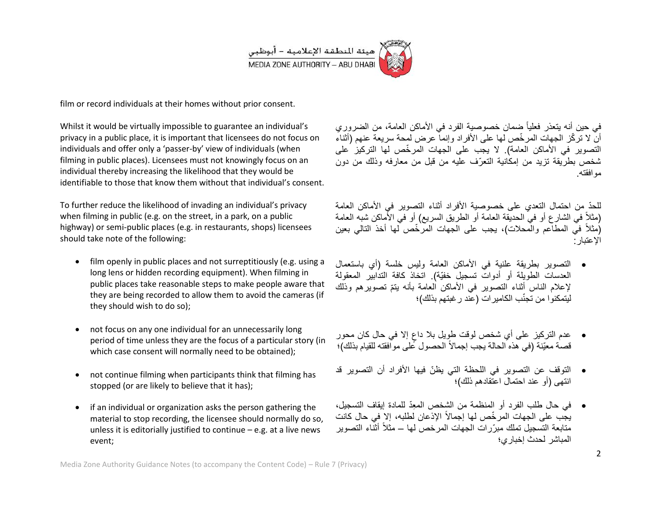

film or record individuals at their homes without prior consent.

Whilst it would be virtually impossible to guarantee an individual's privacy in a public place, it is important that licensees do not focus on individuals and offer only a 'passer-by' view of individuals (when filming in public places). Licensees must not knowingly focus on an individual thereby increasing the likelihood that they would be identifiable to those that know them without that individual's consent.

To further reduce the likelihood of invading an individual's privacy when filming in public (e.g. on the street, in a park, on a public highway) or semi-public places (e.g. in restaurants, shops) licensees should take note of the following:

- film openly in public places and not surreptitiously (e.g. using a long lens or hidden recording equipment). When filming in public places take reasonable steps to make people aware that they are being recorded to allow them to avoid the cameras (if they should wish to do so);
- not focus on any one individual for an unnecessarily long period of time unless they are the focus of a particular story (in which case consent will normally need to be obtained);
- not continue filming when participants think that filming has stopped (or are likely to believe that it has);
- if an individual or organization asks the person gathering the material to stop recording, the licensee should normally do so, unless it is editorially justified to continue  $-e.g.$  at a live news event;

في حين أنه يتعذر فعلياً ضمان خصوصية الفرد في الأماكن العامة، من الضروري أنّ لا تر كّز الجهات المر خّص لها على الأفراد وإنما عرض لمحة سر بعة عنهم (أثناء التصوير في الأماكن العامة). لا يجب على الجهات المرخّص لها التركيز على شخص بطريقة تزيد من إمكانية التعرّف عليه من قبل من معارفه وذلك من دون موافقته.

للحدّ من احتمال التعدي على خصوصية الأفراد أثناء التصوير ً في الأماكن العامة (مثلاً في الشارع أو في الحديقة العامة أو الطريق السريع) أو في الأَماكن شبه العامة (مثلاً في المطاعم والمحلات)، يجب على الجهات المرّخّص لها أخذ التالي بعين اإلعتبار:

- التصوٌر بطرٌقة علنٌة فً األماكن العامة ولٌس خلسة )أي باستعمال العدسات الطويلة أو أدوات تسجيل خفيّة). اتخاذ كافة التدابيّر المعقولة لإعلام الناس أثناء التصوير في الأماكن العامة بأنه يتمّ تصويرهم وذلك ليتمكنوا من تجنّب الكامير ات (عند ر غبتهم بذلك)؛
- ٍ إال فً حال كان محور عدم التركٌز على أي شخص لوقت طوٌل بال داع قصـة معيّنة (في هذه الحالة يجب إجمالاً الحصول عّلى مواّفقته للقيام بذلك)؛
- التوقف عن التصوير في اللحظة التي يظنّ فيها الأفراد أن التصوير قد انتهى (أو عند احتمال اعتقادهم ذلك)؛
- فً حال طلب الفرد أو المنظمة من الشخص المِعّد للمادة إٌقاؾ التسجٌل، يجّب على الجهات المرخّص لها إجمالاً الإذعان لطلبه، إلا في حال كانت متابعة التسجيل تملك مبرّرات الجهات المرخص لها – مثلاً أثنّاء التصوير المباشر لحدث إخباري؛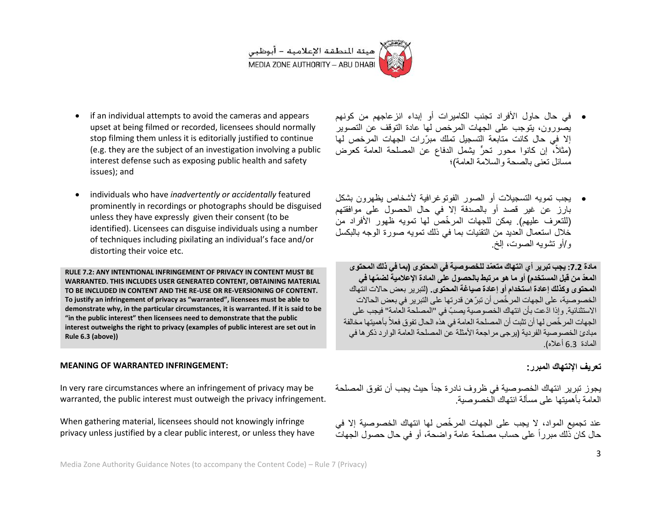

- if an individual attempts to avoid the cameras and appears upset at being filmed or recorded, licensees should normally stop filming them unless it is editorially justified to continue (e.g. they are the subject of an investigation involving a public interest defense such as exposing public health and safety issues); and
- individuals who have *inadvertently or accidentally* featured prominently in recordings or photographs should be disguised unless they have expressly given their consent (to be identified). Licensees can disguise individuals using a number of techniques including pixilating an individual's face and/or distorting their voice etc.

**RULE 7.2: ANY INTENTIONAL INFRINGEMENT OF PRIVACY IN CONTENT MUST BE WARRANTED. THIS INCLUDES USER GENERATED CONTENT, OBTAINING MATERIAL TO BE INCLUDED IN CONTENT AND THE RE-USE OR RE-VERSIONING OF CONTENT. To justify an infringement of privacy as "warranted", licensees must be able to demonstrate why, in the particular circumstances, it is warranted. If it is said to be "in the public interest" then licensees need to demonstrate that the public interest outweighs the right to privacy (examples of public interest are set out in Rule 6.3 (above))**

#### **MEANING OF WARRANTED INFRINGEMENT:**

In very rare circumstances where an infringement of privacy may be warranted, the public interest must outweigh the privacy infringement.

When gathering material, licensees should not knowingly infringe privacy unless justified by a clear public interest, or unless they have

- فً حال حاول األفراد تجنب الكامٌرات أو إبداء انزعاجهم من كونهم يصورون، يتوجب على الجهات المرخص لها عادة التوقف عن التصوير إلا في حال كانت متابعة التسجيل تملك مبرّرات الجهات المرخص لها (مثلاً، إن كانوا محور تحرٍّ يشمل الدفاع عن المصلحة العامة كعرض مسائل تعنى بالصحة والسالمة العامة(؛
- يجب تمويه التسجيلات أو الصور الفوتوغرافية لأشخاص بظهرون بشكل بارز عن غير قصد أو بالصدفة إلا في حال الحصول على موافقتهم (للتعرف عليهم) بمكن للجهات المر خّص لها تمويه ظهور الأفراد من خلال استعمال العديد من التقنيات بما في ذلك تمويه صورة الوجه بالبكسل و/أو تشوبه الصوت، إلخ

**مادة :7.7 ٌجب تبرٌر أي انتهاك متعّمد للخصوصٌة فً المحتوى )بما فً ذلك المحتوى المعّد من قبل المستخدم( أو ما هو مرتبط بالحصول على المادة اإلعالمٌة لض ّمها فً المحتوى وكذلك إعادة استخدام أو إعادة صٌاغة المحتوى.** )لتبرٌر بعض حاالت انتهاك الخصوصية، على الجهات المرخّص أن تبرّ هن قدر تها على التبرير. في بعض الحالات الاستثنائية. وإذا ادّعت بأن انتهاك الخصوصية يصبّ في "المصلحة العامة" فيجب على الجهات المر خّص لها أن تثبت أن المصلحة العامة في هذه الحال تفوق فعلاً بأهميتها مخالفة مبادئ الخصو صبة الفر دبة (بر جي مر اجعة الأمثلة عن المصلحة العامة الوار د ذكر ها في المادة 3.6 أعاله).

#### **تعرٌف اإلنتهاك المبرر:**

يجوز تبرير انتهاك الخصوصية في ظروف نادر ة جداً حيث يجب أن تفوق المصلحة العامة بأهميتها على مسألة انتهاك الخصوصية

عند تجميع المواد، لا يجب على الجهات المرخّص لها انتهاك الخصوصية إلا في حال كان ذلك مبرراً على حساب مصلحة عامة واضحة، أو فً حال حصول الجهات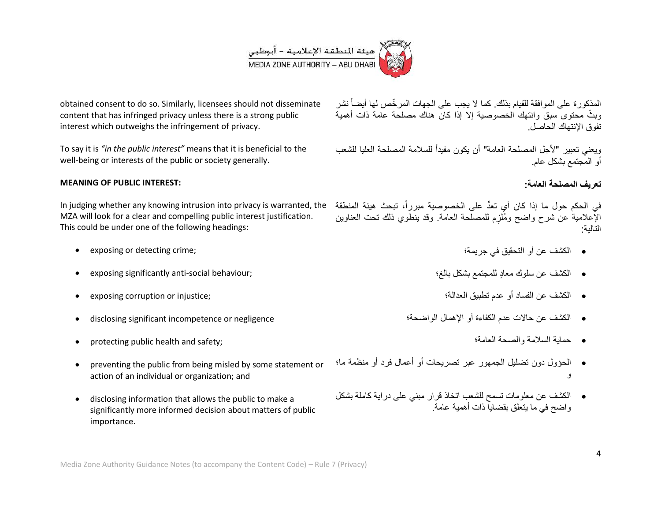# | هيئة المنطقة الإعلامية – أبوظبي<br>| MEDIA ZONE AUTHORITY – ABU DHABI

obtained consent to do so. Similarly, licensees should not disseminate content that has infringed privacy unless there is a strong public interest which outweighs the infringement of privacy.

To say it is *"in the public interest"* means that it is beneficial to the well-being or interests of the public or society generally.

#### **MEANING OF PUBLIC INTEREST:**

في الحكم حول ما إذا كان أي تعدٍّ على الخصوصية مبرراً، تبحث هيئة المنطقة In judging whether any knowing intrusion into privacy is warranted, the MZA will look for a clear and compelling public interest justification. This could be under one of the following headings:

- exposing or detecting crime;
- exposing significantly anti-social behaviour;
- exposing corruption or injustice;
- disclosing significant incompetence or negligence
- protecting public health and safety;
- preventing the public from being misled by some statement or action of an individual or organization; and
- disclosing information that allows the public to make a significantly more informed decision about matters of public importance.

المذكورة على الموافقة للقيام بذلك. كما لا يجب على الجهات المرخّص لها أيضاً نشر وبثّ محتوى سبق وانتهك الخصوصية الا اذا كان هناك مصلحة عامة ذات أهمية تفوق اإلنتهاك الحاصل.

ويعني تعبير "لأجل المصلحة العامة" أن يكون مفيداً للسلامة المصلحة العليا للشعب أو المجتمع بشكل عام.

#### **تعرٌف المصلحة العامة:**

الإعلامية عن شرح واضح ومُلزم للمصلحة العامة. وقد ينطوي ذلك تحت العناوين ِ التالية:

- الكشف عن أو التحقيق في جريمة؛
- الكشف عن سلوك معادٍ للمجتمع بشكل بالغ؛
	- الكشؾ عن الفساد أو عدم تطبٌق العدالة؛
- الكشؾ عن حاالت عدم الكفاءة أو اإلهمال الواضحة؛
	- حماٌة السالمة والصحة العامة؛
- الحؤول دون تضليل الجمهور عبر تصريحات أو أعمال فرد أو منظمة ما؛ و
- الكشؾ عن معلومات تسمح للشعب اتخاذ قرار مبنً على دراٌة كاملة بشكل واضح في ما بتعلق بقضاياً ذات أهمية عامة.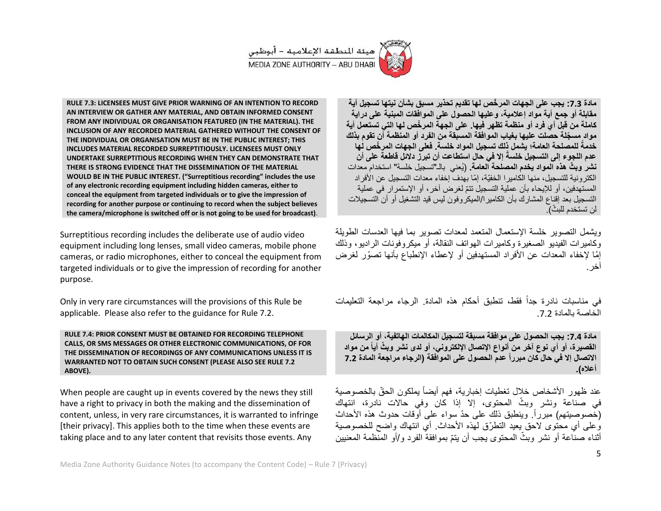

**RULE 7.3: LICENSEES MUST GIVE PRIOR WARNING OF AN INTENTION TO RECORD AN INTERVIEW OR GATHER ANY MATERIAL, AND OBTAIN INFORMED CONSENT FROM ANY INDIVIDUAL OR ORGANISATION FEATURED (IN THE MATERIAL). THE INCLUSION OF ANY RECORDED MATERIAL GATHERED WITHOUT THE CONSENT OF THE INDIVIDUAL OR ORGANISATION MUST BE IN THE PUBLIC INTEREST; THIS INCLUDES MATERIAL RECORDED SURREPTITIOUSLY. LICENSEES MUST ONLY UNDERTAKE SURREPTITIOUS RECORDING WHEN THEY CAN DEMONSTRATE THAT THERE IS STRONG EVIDENCE THAT THE DISSEMINATION OF THE MATERIAL WOULD BE IN THE PUBLIC INTEREST. )"Surreptitious recording" includes the use of any electronic recording equipment including hidden cameras, either to conceal the equipment from targeted individuals or to give the impression of recording for another purpose or continuing to record when the subject believes the camera/microphone is switched off or is not going to be used for broadcast)**.

Surreptitious recording includes the deliberate use of audio video equipment including long lenses, small video cameras, mobile phone cameras, or radio microphones, either to conceal the equipment from targeted individuals or to give the impression of recording for another purpose.

Only in very rare circumstances will the provisions of this Rule be applicable. Please also refer to the guidance for Rule 7.2.

**RULE 7.4: PRIOR CONSENT MUST BE OBTAINED FOR RECORDING TELEPHONE CALLS, OR SMS MESSAGES OR OTHER ELECTRONIC COMMUNICATIONS, OF FOR THE DISSEMINATION OF RECORDINGS OF ANY COMMUNICATIONS UNLESS IT IS WARRANTED NOT TO OBTAIN SUCH CONSENT (PLEASE ALSO SEE RULE 7.2 ABOVE).**

When people are caught up in events covered by the news they still have a right to privacy in both the making and the dissemination of content, unless, in very rare circumstances, it is warranted to infringe [their privacy]. This applies both to the time when these events are taking place and to any later content that revisits those events. Any

**مادة :7.7 ٌجب على الجهات المر ّخص لها تقدٌم تحذٌر مسبق بشأن نٌتها تسجٌل أٌة** مقابلة أو ج*م*ع أية مواد إعلامية، وعليها الحصول على الموافقات المبنية على دراية **كاملة من قبل أي فرد أو منظمة تظهر فٌها. على الجهة المر ّخص لها التً تستعمل أٌة مواد مس ّجلة حصلت علٌها بغٌاب الموافقة المسبقة من الفرد أو المنظمة أن تقوم بذلك للمصلحة العامة؛ ٌشمل ذلك تسجٌ خدمة ل المواد خلسة. فعلى الجهات المر ّخص لها ً إال فً حال استطاعت أن تبرز دالئل قاطعة على أن عدم اللجوء إلى التسجٌل خلسةً نشر وب ّث هذه المواد ٌخدم المصلحة العامة.** )ٌُعنً بالـ"تسجٌل خلسة" استخدام معدات الكتر ونية للتسجيل، منها الكامير ا الخفيّة، إمّا بهدف إخفاء معدات التسجيل عن الأفراد المستهدفين، أو للإيحاء بأن عملية التسجيل تتمّ لغرض آخر ، أو الإستمر ار في عملية التسجيل بعد إقناع المشارك بأن الكامير ا/الميكر وفون ليس قيد التشغيل أو أن التسجيلات لن تستخدم للبثّ).

ويشمل التصوير خلسة الإستعمال المتعمد لمعدات تصوير بما فيها العدسات الطويلة وكامير ات الفيديو الصغير ة وكامير ات الهواتف النقالة، أو مبكر وفونات الر ادبو ، وذلك إمّا لإخفاء المعدات عن الأفراد المستهدفين أو لإعطاء الإنطباع بأنها تصوّر لغرض آخر.

في مناسبات نادرة جداً فقط، تنطبق أحكام هذه المادة. الرجاء مراجعة التعليمات الخاصة بالمادة 7.2

**مادة :7.7 ٌجب الحصول على موافقة مسبقة لتسجٌل المكالمات الهاتفٌة، أو الرسائل نشر وب ّث القصٌرة، أو أي نوع آخر من أنواع اإلتصال اإللكترون،ً أو لدى أٌاً من مواد االتصال إال فً حال كان مبرراً عدم الحصول على الموافقة )الرجاء مراجعة المادة 7.7 أعاله(.**

عند ظهور الأشخاص خلال تغطيات إخبارية، فهم أيضاً يملكون الحقّ بالخصوصية في صناعة ونشر وبثّ المحتوى، إلا إذا كان وفي حالات نادرة، انتهاك (خَصوصيتهم) مبرراً وينطبق ذلك على حدّ سواء على أوّقات حدوث هذه الأحداث وعلى أي محتوى لاحق يعيد التطرّق لهذه الأحداث. أي انتهاك واضح للخصوصية أثناء صنّاعة أو نشر وبثّ المحتوى يجب أن يتمّ بموافقةً الفرد و/أو المنظمة المعنيين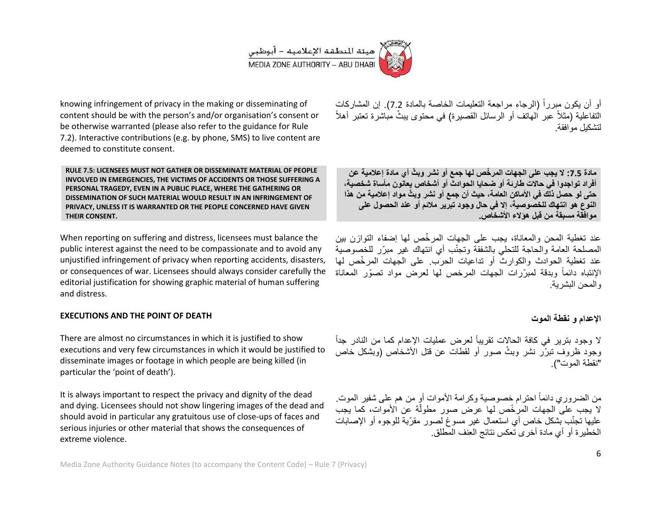

knowing infringement of privacy in the making or disseminating of content should be with the person's and/or organisation's consent or be otherwise warranted (please also refer to the guidance for Rule 7.2). Interactive contributions (e.g. by phone, SMS) to live content are deemed to constitute consent.

**RULE 7.5: LICENSEES MUST NOT GATHER OR DISSEMINATE MATERIAL OF PEOPLE INVOLVED IN EMERGENCIES, THE VICTIMS OF ACCIDENTS OR THOSE SUFFERING A PERSONAL TRAGEDY, EVEN IN A PUBLIC PLACE, WHERE THE GATHERING OR DISSEMINATION OF SUCH MATERIAL WOULD RESULT IN AN INFRINGEMENT OF PRIVACY, UNLESS IT IS WARRANTED OR THE PEOPLE CONCERNED HAVE GIVEN THEIR CONSENT.** 

When reporting on suffering and distress, licensees must balance the public interest against the need to be compassionate and to avoid any unjustified infringement of privacy when reporting accidents, disasters, or consequences of war. Licensees should always consider carefully the editorial justification for showing graphic material of human suffering and distress.

#### **EXECUTIONS AND THE POINT OF DEATH**

There are almost no circumstances in which it is justified to show executions and very few circumstances in which it would be justified to disseminate images or footage in which people are being killed (in particular the 'point of death').

It is always important to respect the privacy and dignity of the dead and dying. Licensees should not show lingering images of the dead and should avoid in particular any gratuitous use of close-ups of faces and serious injuries or other material that shows the consequences of extreme violence.

أو أن يكون مبرراً (الرجاء مراجعة التعليمات الخاصة بالمادة 7.2). إن المشاركات التفاعلية (مثلاً عبر الـهاتف أو الرسائل القصيرة) في محتوى بيثٌ مُباشرة تعتبر أهلاً لتشكيل موافقة

**مادة :7.7 ال ٌجب على الجهات المر ّخص لها جمع أو نشر وب ّث أي مادة إعالمٌة عن** أفراد تواجدوا في حالات طارئة أو ضحايا الحوادث أو أشخاص يعانون مأساة شخصية، **حتى لو حصل ذلك فً األماكن العامة، حٌث أن جمع أو نشر وب ّث مواد إعالمٌة من هذا النوع هو انتهاك للخصوصٌة، إال فً حال وجود تبرٌر مالئم أو عند الحصول على موافقة مسبقة من قبل هؤالء األشخاص.**

عند تغطية المحن والمعاناة، يجب على الجهات المر خّص لها إضفاء التوازن بين المصلحة العامة والحاجة للتحلّي بالشفقة وتجنّب أي انتهاك غير ً مبرّر للخصوصية عند تغطية الحوادث والكوارث أو تداعيات الحرب. على الجهات المرخِّص لها الإنتباه دائماً وبدقة لمبرّرات الجهات المرخص لها لعرض مواد تصوّر المعاناة والمحن البشرية.

#### **اإلعدام و نقطة الموت**

لا وجود بترير في كافة الحالات تقريباً لعرض عمليات الإعدام كما من النادر جداً وجود ظروف تبرّر نشر وبثّ صور أو لقطات عن قتل الأشخاص (وبشكل خاص "نقطة الموت"(.

من الضروري دائماً احترام خصوصية وكرامة الأموات أو من هم على شفير الموت. لا يجب على الجهات المرخّص لها عرض صور مطولّة عن الأموات، كما يجب ٳ عليها تجنّب بشكل خاص أي استعمال غير مسوغ لصور مقرّبة للوجوه أو الإصابات الخطير ة أو أي مادة أخرى تعكس نتائج العنف المطلق.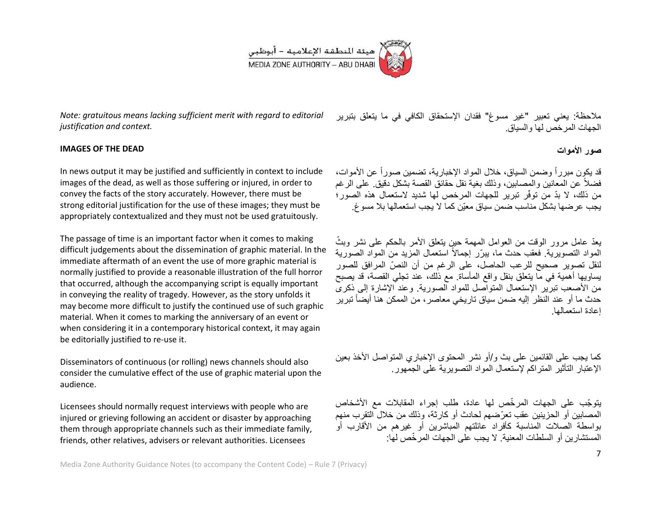

*Note: gratuitous means lacking sufficient merit with regard to editorial justification and context.*

#### **IMAGES OF THE DEAD**

In news output it may be justified and sufficiently in context to include images of the dead, as well as those suffering or injured, in order to convey the facts of the story accurately. However, there must be strong editorial justification for the use of these images; they must be appropriately contextualized and they must not be used gratuitously.

The passage of time is an important factor when it comes to making difficult judgements about the dissemination of graphic material. In the immediate aftermath of an event the use of more graphic material is normally justified to provide a reasonable illustration of the full horror that occurred, although the accompanying script is equally important in conveying the reality of tragedy. However, as the story unfolds it may become more difficult to justify the continued use of such graphic material. When it comes to marking the anniversary of an event or when considering it in a contemporary historical context, it may again be editorially justified to re-use it.

Disseminators of continuous (or rolling) news channels should also consider the cumulative effect of the use of graphic material upon the audience.

Licensees should normally request interviews with people who are injured or grieving following an accident or disaster by approaching them through appropriate channels such as their immediate family, friends, other relatives, advisers or relevant authorities. Licensees

ملاحظة: يعني تعبير "غير مسوغ" فقدان الإستحقاق الكافئ في ما يتعلق بتبرير الجهات المر خص لها و السياق.

### **صور األموات**

قد يكون مبرراً وضمن السياق، خلال المواد الإخبارية، تضمين صوراً عن الأموات، فضلاً عن المعانين والمصابين، وذلك بغية نقل حقائق القصبة بشكل دقيق. على الر غم من ذلك، لا بدّ من توفّر تبرير للجهات المرخص لها شديد لاستعمال هذه الصور؛ بجب عر ضبها بشكل مناسب ضمن سباق معيّن كما لا بجب استعمالها بلا مسوغ.

يعدّ عامل مرور الوقت من العوامل المهمة حين بتعلق الأمر بالحكم على نشر وبثّ المواد التصويرية. فعقب حدث ما، بيرّر إجمالاً استعمال المزيد من المواد الصورية لنقل تصوير صحيح للرعب الحاصل، على الرغم من أن النصّ المرافق للصور يساويها أهمية في ما يتعلق بنقل واقع المأساة. مع ذلك، عند تجلَّى القصة، قد يصبح من الأصعب تبرير الإستعمال المتواصل للمواد الصورية. وعند الإشارة إلى ذكرى حدث ما أو عند النظر إليه ضمن سياق تاريخي معاصر ، من الممكن هنا أيضاً تبرير إعادة استعمالها.

كما يجب على القائمين على بث و/أو نشر المحتوى الإخباري المتواصل الأخذ بعين الإعتبار التأثير المتر اكم لإستعمال المواد التصوير ية على الجمهور .

ٌتو ّجب على الجهات المر ّخص لها عادة، طلب إجراء المقابالت مع األشخاص المصابين أو الحز بنين عقب تعرّضهم لحادث أو كار ثة، وذلك من خلال التقر ب منهم بواسطة الصلات المناسبة كأفراد عائلتهم المباشرين أو غيرهم من الأقارب أو المستشار بن أو السلطات المعنية. لا بجب على الجهات المر خّص لها: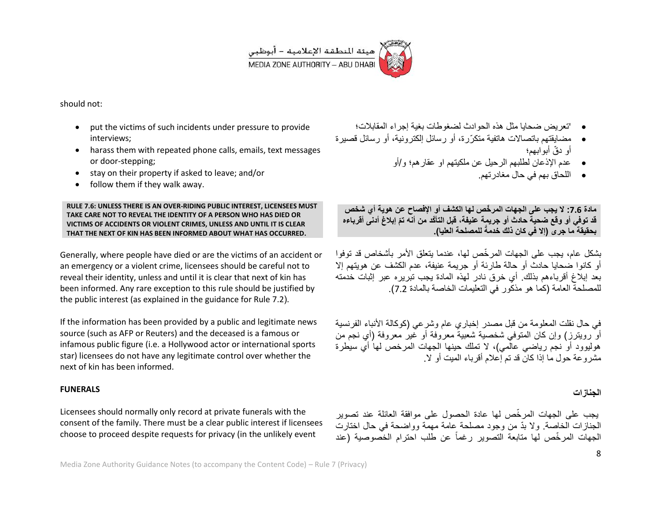

should not:

- put the victims of such incidents under pressure to provide interviews;
- harass them with repeated phone calls, emails, text messages or door-stepping;
- stay on their property if asked to leave; and/or
- follow them if they walk away.

**RULE 7.6: UNLESS THERE IS AN OVER-RIDING PUBLIC INTEREST, LICENSEES MUST TAKE CARE NOT TO REVEAL THE IDENTITY OF A PERSON WHO HAS DIED OR VICTIMS OF ACCIDENTS OR VIOLENT CRIMES, UNLESS AND UNTIL IT IS CLEAR THAT THE NEXT OF KIN HAS BEEN INFORMED ABOUT WHAT HAS OCCURRED.**

Generally, where people have died or are the victims of an accident or an emergency or a violent crime, licensees should be careful not to reveal their identity, unless and until it is clear that next of kin has been informed. Any rare exception to this rule should be justified by the public interest (as explained in the guidance for Rule 7.2).

If the information has been provided by a public and legitimate news source (such as AFP or Reuters) and the deceased is a famous or infamous public figure (i.e. a Hollywood actor or international sports star) licensees do not have any legitimate control over whether the next of kin has been informed.

#### **FUNERALS**

Licensees should normally only record at private funerals with the consent of the family. There must be a clear public interest if licensees choose to proceed despite requests for privacy (in the unlikely event

- ' تعرٌض ضحاٌا مثل هذه الحوادث لضؽوطات بؽٌة إجراء المقابالت؛
- مضايقتهم باتصالات هاتفية متكرّرة، أو رسائل إلكترونية، أو رسائل قصيرة أو دقّ أبو ابهم؛
	- عدم اإلذعان لطلبهم الرحٌل عن ملكٌتهم او عقارهم؛ و/أو
		- اللحاق بهم فً حال مؽادرتهم.

**مادة :7.7 ال ٌجب على الجهات المر ّخص لها الكشف أو اإلفصاح عن هوٌة أي شخص** قد توفّي أو وقع ضحية حادث أو جريمة عنيفة، قبل التأكّد من أنه تمّ إبلاغ أدنى أقرباءه **للمصلحة العلٌا(. بحقٌقة ما جرى )إال فً كان ذلك خدمةً**

بشكل عام، يجب على الجهات المر خّص لها، عندما يتعلق الأمر بأشخاص قد توفوا أو كانوا ضحايا حادث أو حالة طارئة أو جريمة عنيفة، عدم الكشف عن هويتهم إلا بعد إبالغ أقرباءهم بذلك. أي خرق نادر لهذه المادة ٌجب تبرٌره عبر إثبات خدمته للمصلحة العامة (كما هو مذكور في التعليمات الخاصة بالمادة 7.2).

في حال نقلت المعلومة من قبل مصدر إخباري عام وشرعي (كوكالة الأنباء الفرنسبة أو رويترز) وإن كان المتوفَّى شخصية شعبية معروفة أو غير معروفة (أي نجم من هوليوود أو نجم رياضي عالمي)، لا تملك حينها الجهات المرخص لها أي سيطرة مشر و عة حول ما إذا كان قد تم إعلام أقر باء المبت أو الا.

#### **الجنازات**

ٌجب على الجهات المر ّخص لها عادة الحصول على موافقة العائلة عند تصوٌر الجنازات الخاصة. ولا بدّ من وجود مصلحة عامة مهمة وواضحة في حال اختارت الجهات المرخّص لها متابعة التصوير رغماً عن طلب احترام الخصوصية (عند